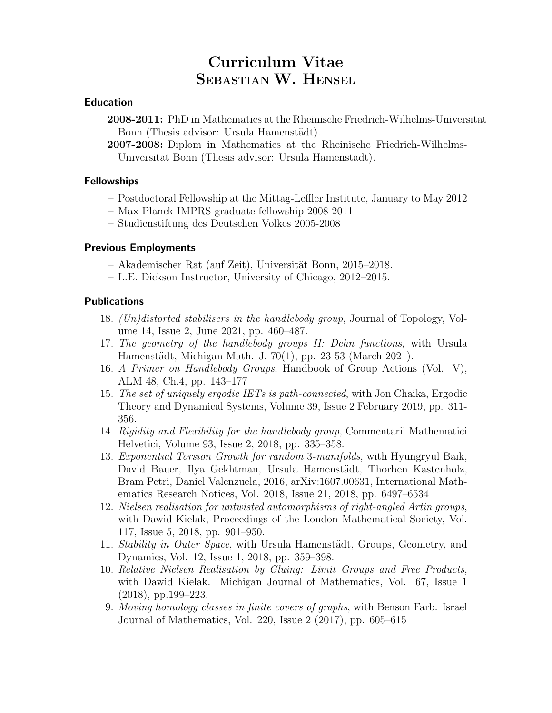# Curriculum Vitae SEBASTIAN W. HENSEL

## Education

- 2008-2011: PhD in Mathematics at the Rheinische Friedrich-Wilhelms-Universität Bonn (Thesis advisor: Ursula Hamenstädt).
- 2007-2008: Diplom in Mathematics at the Rheinische Friedrich-Wilhelms-Universität Bonn (Thesis advisor: Ursula Hamenstädt).

#### Fellowships

- Postdoctoral Fellowship at the Mittag-Leffler Institute, January to May 2012
- Max-Planck IMPRS graduate fellowship 2008-2011
- Studienstiftung des Deutschen Volkes 2005-2008

#### Previous Employments

- Akademischer Rat (auf Zeit), Universität Bonn, 2015–2018.
- L.E. Dickson Instructor, University of Chicago, 2012–2015.

#### Publications

- 18. (Un)distorted stabilisers in the handlebody group, Journal of Topology, Volume 14, Issue 2, June 2021, pp. 460–487.
- 17. The geometry of the handlebody groups II: Dehn functions, with Ursula Hamenstädt, Michigan Math. J. 70(1), pp. 23-53 (March 2021).
- 16. A Primer on Handlebody Groups, Handbook of Group Actions (Vol. V), ALM 48, Ch.4, pp. 143–177
- 15. The set of uniquely ergodic IETs is path-connected, with Jon Chaika, Ergodic Theory and Dynamical Systems, Volume 39, Issue 2 February 2019, pp. 311- 356.
- 14. Rigidity and Flexibility for the handlebody group, Commentarii Mathematici Helvetici, Volume 93, Issue 2, 2018, pp. 335–358.
- 13. Exponential Torsion Growth for random 3-manifolds, with Hyungryul Baik, David Bauer, Ilya Gekhtman, Ursula Hamenstädt, Thorben Kastenholz, Bram Petri, Daniel Valenzuela, 2016, arXiv:1607.00631, International Mathematics Research Notices, Vol. 2018, Issue 21, 2018, pp. 6497–6534
- 12. Nielsen realisation for untwisted automorphisms of right-angled Artin groups, with Dawid Kielak, Proceedings of the London Mathematical Society, Vol. 117, Issue 5, 2018, pp. 901–950.
- 11. Stability in Outer Space, with Ursula Hamenstädt, Groups, Geometry, and Dynamics, Vol. 12, Issue 1, 2018, pp. 359–398.
- 10. Relative Nielsen Realisation by Gluing: Limit Groups and Free Products, with Dawid Kielak. Michigan Journal of Mathematics, Vol. 67, Issue 1 (2018), pp.199–223.
- 9. Moving homology classes in finite covers of graphs, with Benson Farb. Israel Journal of Mathematics, Vol. 220, Issue 2 (2017), pp. 605–615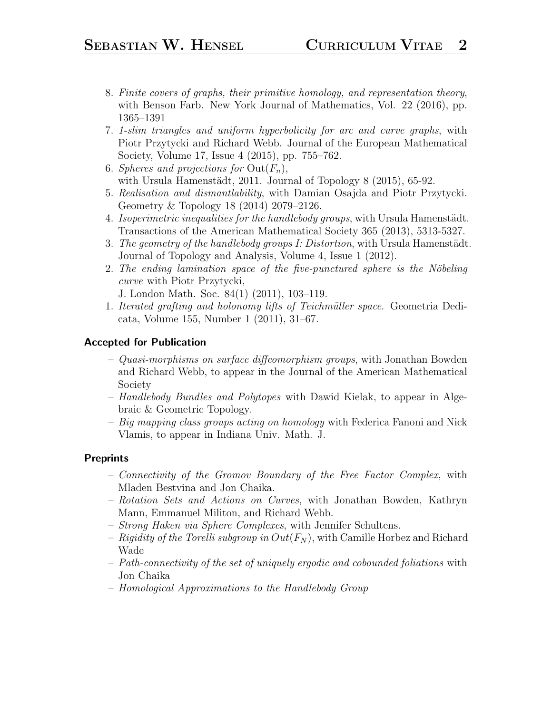- 8. Finite covers of graphs, their primitive homology, and representation theory, with Benson Farb. New York Journal of Mathematics, Vol. 22 (2016), pp. 1365–1391
- 7. 1-slim triangles and uniform hyperbolicity for arc and curve graphs, with Piotr Przytycki and Richard Webb. Journal of the European Mathematical Society, Volume 17, Issue 4 (2015), pp. 755–762.
- 6. Spheres and projections for  $Out(F_n)$ , with Ursula Hamenstädt, 2011. Journal of Topology 8 (2015), 65-92.
- 5. Realisation and dismantlability, with Damian Osajda and Piotr Przytycki. Geometry & Topology 18 (2014) 2079–2126.
- 4. Isoperimetric inequalities for the handlebody groups, with Ursula Hamenstädt. Transactions of the American Mathematical Society 365 (2013), 5313-5327.
- 3. The geometry of the handlebody groups  $I: Distortion$ , with Ursula Hamenstädt. Journal of Topology and Analysis, Volume 4, Issue 1 (2012).
- 2. The ending lamination space of the five-punctured sphere is the Nöbeling curve with Piotr Przytycki,

J. London Math. Soc. 84(1) (2011), 103–119.

1. Iterated grafting and holonomy lifts of Teichmüller space. Geometria Dedicata, Volume 155, Number 1 (2011), 31–67.

# Accepted for Publication

- Quasi-morphisms on surface diffeomorphism groups, with Jonathan Bowden and Richard Webb, to appear in the Journal of the American Mathematical Society
- Handlebody Bundles and Polytopes with Dawid Kielak, to appear in Algebraic & Geometric Topology.
- $-$  Big mapping class groups acting on homology with Federica Fanoni and Nick Vlamis, to appear in Indiana Univ. Math. J.

# Preprints

- Connectivity of the Gromov Boundary of the Free Factor Complex, with Mladen Bestvina and Jon Chaika.
- Rotation Sets and Actions on Curves, with Jonathan Bowden, Kathryn Mann, Emmanuel Militon, and Richard Webb.
- Strong Haken via Sphere Complexes, with Jennifer Schultens.
- Rigidity of the Torelli subgroup in  $Out(F_N)$ , with Camille Horbez and Richard Wade
- Path-connectivity of the set of uniquely ergodic and cobounded foliations with Jon Chaika
- Homological Approximations to the Handlebody Group